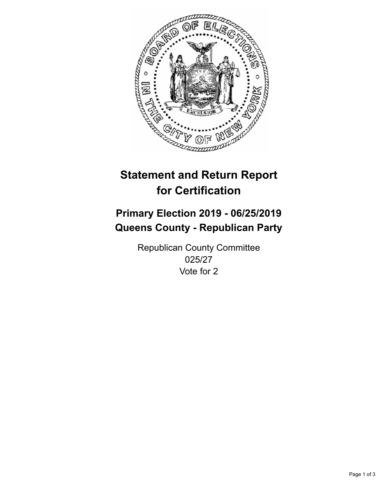

## **Statement and Return Report for Certification**

## **Primary Election 2019 - 06/25/2019 Queens County - Republican Party**

Republican County Committee 025/27 Vote for 2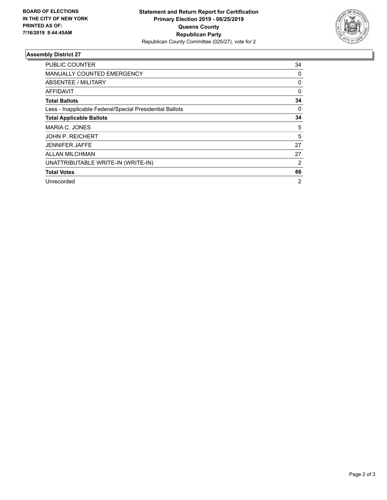

## **Assembly District 27**

| <b>PUBLIC COUNTER</b>                                    | 34             |
|----------------------------------------------------------|----------------|
| <b>MANUALLY COUNTED EMERGENCY</b>                        | 0              |
| ABSENTEE / MILITARY                                      | 0              |
| <b>AFFIDAVIT</b>                                         | 0              |
| <b>Total Ballots</b>                                     | 34             |
| Less - Inapplicable Federal/Special Presidential Ballots | 0              |
| <b>Total Applicable Ballots</b>                          | 34             |
| MARIA C. JONES                                           | 5              |
| <b>JOHN P. REICHERT</b>                                  | 5              |
| <b>JENNIFER JAFFE</b>                                    | 27             |
| <b>ALLAN MILCHMAN</b>                                    | 27             |
| UNATTRIBUTABLE WRITE-IN (WRITE-IN)                       | 2              |
| <b>Total Votes</b>                                       | 66             |
| Unrecorded                                               | $\overline{2}$ |